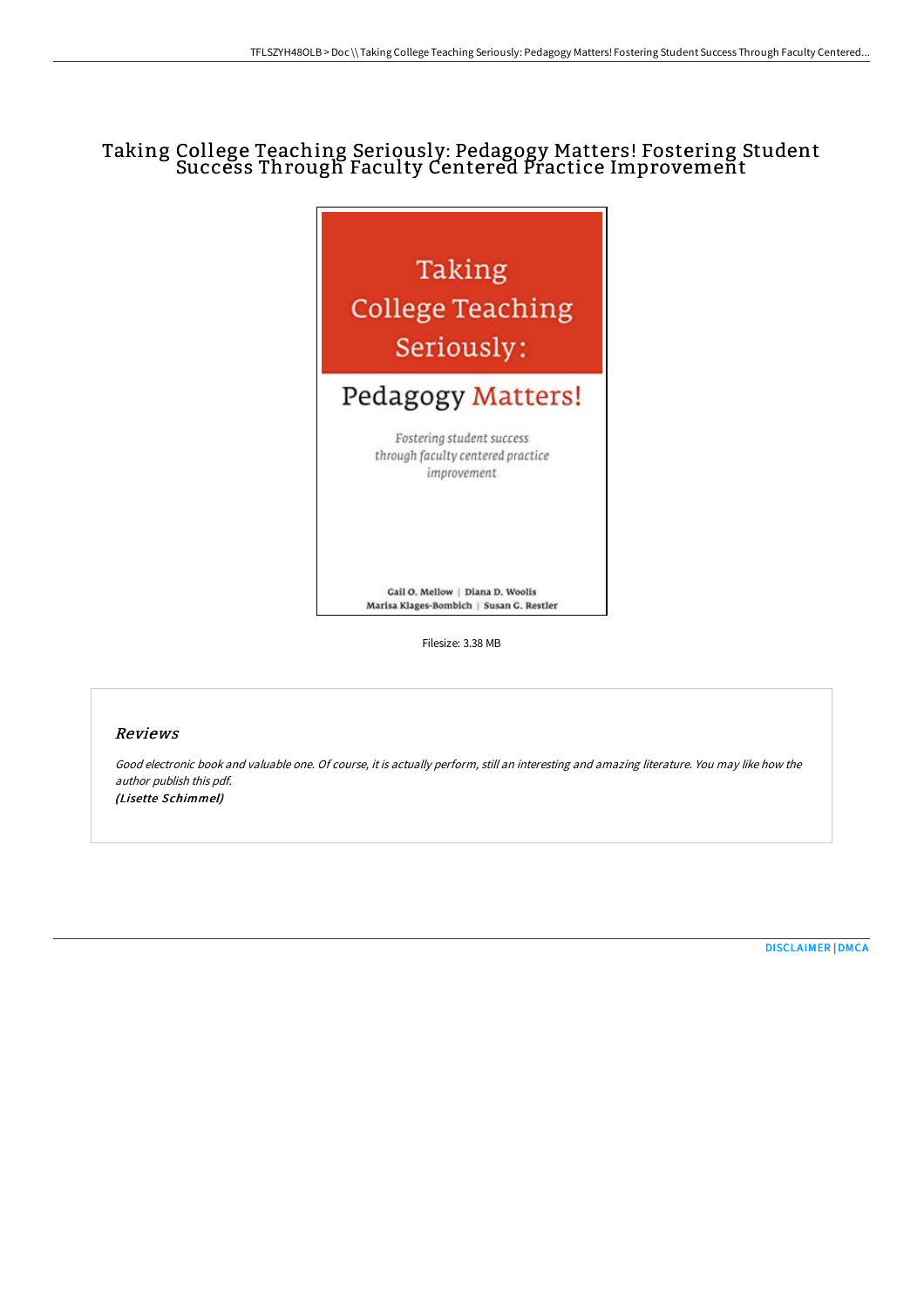# Taking College Teaching Seriously: Pedagogy Matters! Fostering Student Success Through Faculty Centered Practice Improvement



Filesize: 3.38 MB

#### Reviews

Good electronic book and valuable one. Of course, it is actually perform, still an interesting and amazing literature. You may like how the author publish this pdf. (Lisette Schimmel)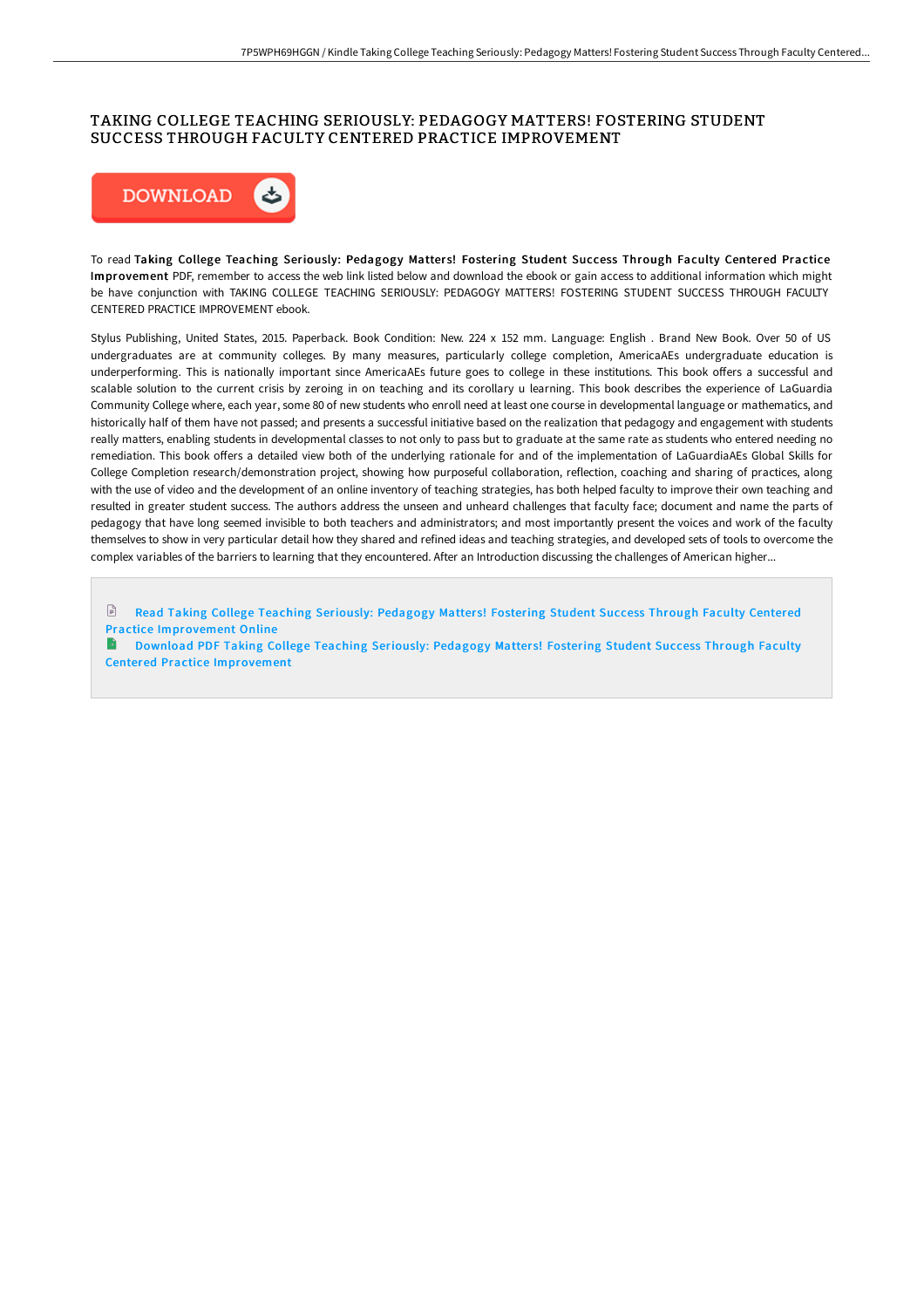## TAKING COLLEGE TEACHING SERIOUSLY: PEDAGOGY MATTERS! FOSTERING STUDENT SUCCESS THROUGH FACULTY CENTERED PRACTICE IMPROVEMENT



To read Taking College Teaching Seriously: Pedagogy Matters! Fostering Student Success Through Faculty Centered Practice Improvement PDF, remember to access the web link listed below and download the ebook or gain access to additional information which might be have conjunction with TAKING COLLEGE TEACHING SERIOUSLY: PEDAGOGY MATTERS! FOSTERING STUDENT SUCCESS THROUGH FACULTY CENTERED PRACTICE IMPROVEMENT ebook.

Stylus Publishing, United States, 2015. Paperback. Book Condition: New. 224 x 152 mm. Language: English . Brand New Book. Over 50 of US undergraduates are at community colleges. By many measures, particularly college completion, AmericaAEs undergraduate education is underperforming. This is nationally important since AmericaAEs future goes to college in these institutions. This book oFers a successful and scalable solution to the current crisis by zeroing in on teaching and its corollary u learning. This book describes the experience of LaGuardia Community College where, each year, some 80 of new students who enroll need at least one course in developmental language or mathematics, and historically half of them have not passed; and presents a successful initiative based on the realization that pedagogy and engagement with students really matters, enabling students in developmental classes to not only to pass but to graduate at the same rate as students who entered needing no remediation. This book offers a detailed view both of the underlying rationale for and of the implementation of LaGuardiaAEs Global Skills for College Completion research/demonstration project, showing how purposeful collaboration, reflection, coaching and sharing of practices, along with the use of video and the development of an online inventory of teaching strategies, has both helped faculty to improve their own teaching and resulted in greater student success. The authors address the unseen and unheard challenges that faculty face; document and name the parts of pedagogy that have long seemed invisible to both teachers and administrators; and most importantly present the voices and work of the faculty themselves to show in very particular detail how they shared and refined ideas and teaching strategies, and developed sets of tools to overcome the complex variables of the barriers to learning that they encountered. After an Introduction discussing the challenges of American higher...

 $\Box$ Read Taking College Teaching Seriously: Pedagogy Matters! Fostering Student Success Through Faculty Centered Practice [Improvement](http://techno-pub.tech/taking-college-teaching-seriously-pedagogy-matte.html) Online

Download PDF Taking College Teaching Seriously: Pedagogy Matters! Fostering Student Success Through Faculty Centered Practice [Improvement](http://techno-pub.tech/taking-college-teaching-seriously-pedagogy-matte.html)